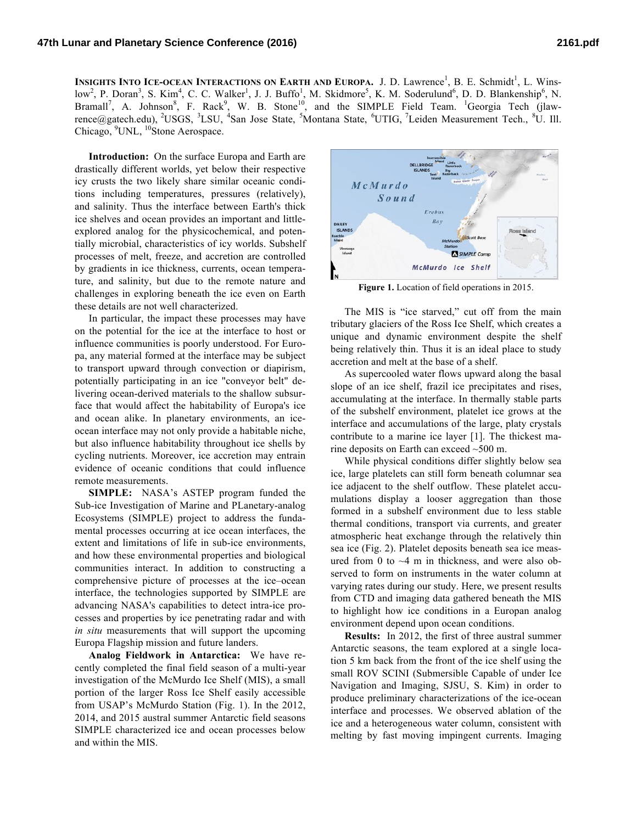INSIGHTS INTO ICE-OCEAN INTERACTIONS ON EARTH AND EUROPA. J. D. Lawrence<sup>1</sup>, B. E. Schmidt<sup>1</sup>, L. Winslow<sup>2</sup>, P. Doran<sup>3</sup>, S. Kim<sup>4</sup>, C. C. Walker<sup>1</sup>, J. J. Buffo<sup>1</sup>, M. Skidmore<sup>5</sup>, K. M. Soderulund<sup>6</sup>, D. D. Blankenship<sup>6</sup>, N. Bramall<sup>7</sup>, A. Johnson<sup>8</sup>, F. Rack<sup>9</sup>, W. B. Stone<sup>10</sup>, and the SIMPLE Field Team. <sup>1</sup>Georgia Tech (jlawrence@gatech.edu), <sup>2</sup>USGS, <sup>3</sup>LSU, <sup>4</sup>San Jose State, <sup>5</sup>Montana State, <sup>6</sup>UTIG, <sup>7</sup>Leiden Measurement Tech., <sup>8</sup>U. Ill. Chicago, <sup>9</sup>UNL, <sup>10</sup>Stone Aerospace.

**Introduction:** On the surface Europa and Earth are drastically different worlds, yet below their respective icy crusts the two likely share similar oceanic conditions including temperatures, pressures (relatively), and salinity. Thus the interface between Earth's thick ice shelves and ocean provides an important and littleexplored analog for the physicochemical, and potentially microbial, characteristics of icy worlds. Subshelf processes of melt, freeze, and accretion are controlled by gradients in ice thickness, currents, ocean temperature, and salinity, but due to the remote nature and challenges in exploring beneath the ice even on Earth these details are not well characterized.

In particular, the impact these processes may have on the potential for the ice at the interface to host or influence communities is poorly understood. For Europa, any material formed at the interface may be subject to transport upward through convection or diapirism, potentially participating in an ice "conveyor belt" delivering ocean-derived materials to the shallow subsurface that would affect the habitability of Europa's ice and ocean alike. In planetary environments, an iceocean interface may not only provide a habitable niche, but also influence habitability throughout ice shells by cycling nutrients. Moreover, ice accretion may entrain evidence of oceanic conditions that could influence remote measurements.

**SIMPLE:** NASA's ASTEP program funded the Sub-ice Investigation of Marine and PLanetary-analog Ecosystems (SIMPLE) project to address the fundamental processes occurring at ice ocean interfaces, the extent and limitations of life in sub-ice environments, and how these environmental properties and biological communities interact. In addition to constructing a comprehensive picture of processes at the ice–ocean interface, the technologies supported by SIMPLE are advancing NASA's capabilities to detect intra-ice processes and properties by ice penetrating radar and with *in situ* measurements that will support the upcoming Europa Flagship mission and future landers.

**Analog Fieldwork in Antarctica:** We have recently completed the final field season of a multi-year investigation of the McMurdo Ice Shelf (MIS), a small portion of the larger Ross Ice Shelf easily accessible from USAP's McMurdo Station (Fig. 1). In the 2012, 2014, and 2015 austral summer Antarctic field seasons SIMPLE characterized ice and ocean processes below and within the MIS.



**Figure 1.** Location of field operations in 2015.

The MIS is "ice starved," cut off from the main tributary glaciers of the Ross Ice Shelf, which creates a unique and dynamic environment despite the shelf being relatively thin. Thus it is an ideal place to study accretion and melt at the base of a shelf.

As supercooled water flows upward along the basal slope of an ice shelf, frazil ice precipitates and rises, accumulating at the interface. In thermally stable parts of the subshelf environment, platelet ice grows at the interface and accumulations of the large, platy crystals contribute to a marine ice layer [1]. The thickest marine deposits on Earth can exceed ~500 m.

While physical conditions differ slightly below sea ice, large platelets can still form beneath columnar sea ice adjacent to the shelf outflow. These platelet accumulations display a looser aggregation than those formed in a subshelf environment due to less stable thermal conditions, transport via currents, and greater atmospheric heat exchange through the relatively thin sea ice (Fig. 2). Platelet deposits beneath sea ice measured from 0 to  $\sim$ 4 m in thickness, and were also observed to form on instruments in the water column at varying rates during our study. Here, we present results from CTD and imaging data gathered beneath the MIS to highlight how ice conditions in a Europan analog environment depend upon ocean conditions.

**Results:** In 2012, the first of three austral summer Antarctic seasons, the team explored at a single location 5 km back from the front of the ice shelf using the small ROV SCINI (Submersible Capable of under Ice Navigation and Imaging, SJSU, S. Kim) in order to produce preliminary characterizations of the ice-ocean interface and processes. We observed ablation of the ice and a heterogeneous water column, consistent with melting by fast moving impingent currents. Imaging